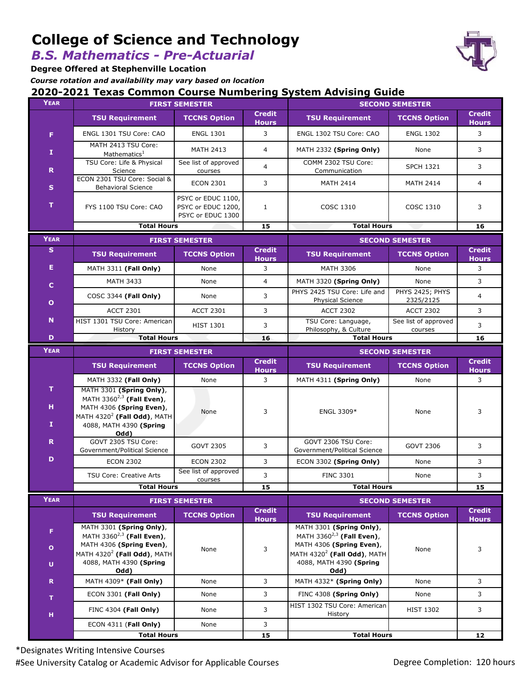# **College of Science and Technology**

*B.S. Mathematics - Pre-Actuarial*

**Degree Offered at Stephenville Location**

*Course rotation and availability may vary based on location*

#### **2020-2021 Texas Common Course Numbering System Advising Guide**

| <b>YEAR</b>            | <b>FIRST SEMESTER</b>                                                                                                                                                       |                                                               |                               | <b>SECOND SEMESTER</b>                                                                                                                                             |                                 |                               |
|------------------------|-----------------------------------------------------------------------------------------------------------------------------------------------------------------------------|---------------------------------------------------------------|-------------------------------|--------------------------------------------------------------------------------------------------------------------------------------------------------------------|---------------------------------|-------------------------------|
|                        | <b>TSU Requirement</b>                                                                                                                                                      | <b>TCCNS Option</b>                                           | <b>Credit</b><br><b>Hours</b> | <b>TSU Requirement</b>                                                                                                                                             | <b>TCCNS Option</b>             | <b>Credit</b><br><b>Hours</b> |
| F.                     | ENGL 1301 TSU Core: CAO                                                                                                                                                     | <b>ENGL 1301</b>                                              | 3                             | ENGL 1302 TSU Core: CAO                                                                                                                                            | <b>ENGL 1302</b>                | 3                             |
| 1                      | MATH 2413 TSU Core:<br>Mathematics <sup>1</sup>                                                                                                                             | <b>MATH 2413</b>                                              | $\overline{4}$                | MATH 2332 (Spring Only)                                                                                                                                            | None                            | 3                             |
| R                      | TSU Core: Life & Physical<br>Science                                                                                                                                        | See list of approved<br>courses                               | $\overline{4}$                | COMM 2302 TSU Core:<br>Communication                                                                                                                               | <b>SPCH 1321</b>                | 3                             |
| S                      | ECON 2301 TSU Core: Social &<br><b>Behavioral Science</b>                                                                                                                   | <b>ECON 2301</b>                                              | 3                             | <b>MATH 2414</b>                                                                                                                                                   | <b>MATH 2414</b>                | $\overline{4}$                |
| T.                     | FYS 1100 TSU Core: CAO                                                                                                                                                      | PSYC or EDUC 1100,<br>PSYC or EDUC 1200,<br>PSYC or EDUC 1300 | $\mathbf{1}$                  | COSC 1310                                                                                                                                                          | COSC 1310                       | 3                             |
|                        | <b>Total Hours</b>                                                                                                                                                          |                                                               | 15                            | <b>Total Hours</b>                                                                                                                                                 |                                 | 16                            |
| <b>YEAR</b>            | <b>FIRST SEMESTER</b>                                                                                                                                                       |                                                               |                               | <b>SECOND SEMESTER</b>                                                                                                                                             |                                 |                               |
| S                      | <b>TSU Requirement</b>                                                                                                                                                      | <b>TCCNS Option</b>                                           | <b>Credit</b><br><b>Hours</b> | <b>TSU Requirement</b>                                                                                                                                             | <b>TCCNS Option</b>             | <b>Credit</b><br><b>Hours</b> |
| Е                      | MATH 3311 (Fall Only)                                                                                                                                                       | None                                                          | 3                             | <b>MATH 3306</b>                                                                                                                                                   | None                            | 3                             |
| C                      | <b>MATH 3433</b>                                                                                                                                                            | None                                                          | $\overline{4}$                | MATH 3320 (Spring Only)                                                                                                                                            | None                            | 3                             |
| $\mathbf{o}$           | COSC 3344 (Fall Only)                                                                                                                                                       | None                                                          | 3                             | PHYS 2425 TSU Core: Life and<br>Physical Science                                                                                                                   | PHYS 2425; PHYS<br>2325/2125    | 4                             |
|                        | <b>ACCT 2301</b>                                                                                                                                                            | <b>ACCT 2301</b>                                              | 3                             | <b>ACCT 2302</b>                                                                                                                                                   | <b>ACCT 2302</b>                | 3                             |
| N                      | HIST 1301 TSU Core: American<br>History                                                                                                                                     | <b>HIST 1301</b>                                              | 3                             | TSU Core: Language,<br>Philosophy, & Culture                                                                                                                       | See list of approved<br>courses | 3                             |
| D                      | <b>Total Hours</b>                                                                                                                                                          |                                                               | 16                            |                                                                                                                                                                    | <b>Total Hours</b>              |                               |
| <b>YEAR</b>            | <b>FIRST SEMESTER</b>                                                                                                                                                       |                                                               |                               | <b>SECOND SEMESTER</b>                                                                                                                                             |                                 |                               |
|                        | <b>TSU Requirement</b>                                                                                                                                                      | <b>TCCNS Option</b>                                           | <b>Credit</b><br><b>Hours</b> | <b>TSU Requirement</b>                                                                                                                                             | <b>TCCNS Option</b>             | <b>Credit</b><br><b>Hours</b> |
|                        | MATH 3332 (Fall Only)                                                                                                                                                       | None                                                          | 3                             | MATH 4311 (Spring Only)                                                                                                                                            | None                            | 3                             |
| $\mathbf T$<br>н<br>1  | MATH 3301 (Spring Only),<br>MATH 3360 <sup>2,3</sup> (Fall Even),<br>MATH 4306 (Spring Even),<br>MATH 4320 <sup>2</sup> (Fall Odd), MATH<br>4088, MATH 4390 (Spring<br>Odd) | None                                                          | 3                             | ENGL 3309*                                                                                                                                                         | None                            | 3                             |
| R                      | GOVT 2305 TSU Core:<br>Government/Political Science                                                                                                                         | <b>GOVT 2305</b>                                              | 3                             | GOVT 2306 TSU Core:<br>Government/Political Science                                                                                                                | <b>GOVT 2306</b>                | 3                             |
| D                      | <b>ECON 2302</b>                                                                                                                                                            | <b>ECON 2302</b>                                              | 3                             | ECON 3302 (Spring Only)                                                                                                                                            | None                            | 3                             |
|                        | TSU Core: Creative Arts                                                                                                                                                     | See list of approved<br>courses                               | 3                             | <b>FINC 3301</b>                                                                                                                                                   | None                            | 3                             |
|                        | <b>Total Hours</b>                                                                                                                                                          |                                                               | 15                            | <b>Total Hours</b>                                                                                                                                                 |                                 | 15                            |
| <b>YEAR</b>            | <b>FIRST SEMESTER</b>                                                                                                                                                       |                                                               |                               | <b>SECOND SEMESTER</b>                                                                                                                                             |                                 |                               |
|                        | <b>TSU Requirement</b>                                                                                                                                                      | <b>TCCNS Option</b>                                           | <b>Credit</b><br><b>Hours</b> | <b>TSU Requirement</b>                                                                                                                                             | <b>TCCNS Option</b>             | <b>Credit</b><br><b>Hours</b> |
| F<br>$\mathbf{o}$<br>U | MATH 3301 (Spring Only),<br>MATH 3360 <sup>2,3</sup> (Fall Even),<br>MATH 4306 (Spring Even),<br>MATH $4320^2$ (Fall Odd), MATH<br>4088, MATH 4390 (Spring<br>Odd)          | None                                                          | 3                             | MATH 3301 (Spring Only),<br>MATH 3360 <sup>2,3</sup> (Fall Even),<br>MATH 4306 (Spring Even),<br>MATH $4320^2$ (Fall Odd), MATH<br>4088, MATH 4390 (Spring<br>Odd) | None                            | 3                             |
| $\mathbf R$            | MATH 4309* (Fall Only)                                                                                                                                                      | None                                                          | 3                             | MATH 4332* (Spring Only)                                                                                                                                           | None                            | 3                             |
| T.                     | ECON 3301 (Fall Only)                                                                                                                                                       | None                                                          | 3                             | FINC 4308 (Spring Only)                                                                                                                                            | None                            | 3                             |
| н                      | FINC 4304 (Fall Only)                                                                                                                                                       | None                                                          | 3                             | HIST 1302 TSU Core: American<br>History                                                                                                                            | <b>HIST 1302</b>                | 3                             |
|                        | ECON 4311 (Fall Only)                                                                                                                                                       | None                                                          | 3                             |                                                                                                                                                                    |                                 |                               |
|                        | <b>Total Hours</b>                                                                                                                                                          |                                                               | 15                            | <b>Total Hours</b>                                                                                                                                                 |                                 | 12                            |

\*Designates Writing Intensive Courses #See University Catalog or Academic Advisor for Applicable Courses **Degree Completion: 120 hours**